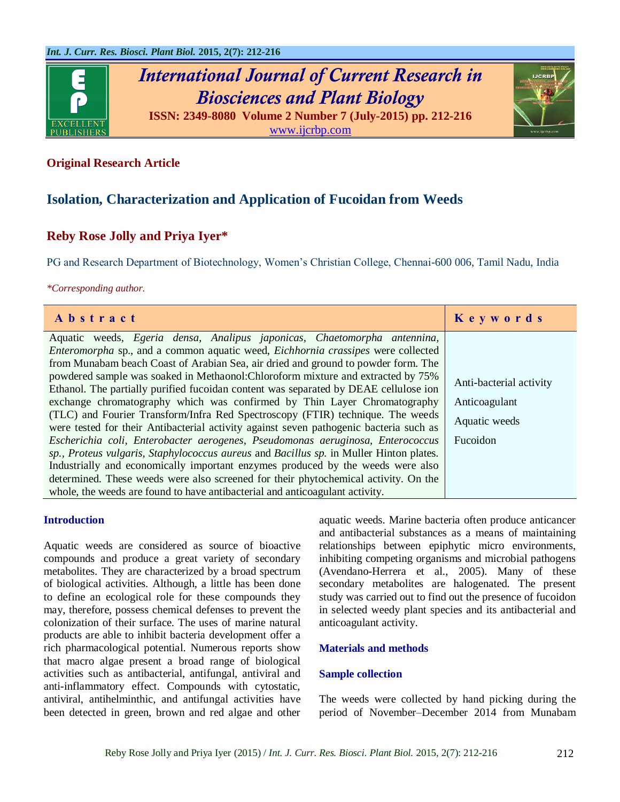

# *International Journal of Current Research in Biosciences and Plant Biology* **ISSN: 2349-8080 Volume 2 Number 7 (July-2015) pp. 212-216**



[www.ijcrbp.com](http://www.ijcrbp.com/)

## **Original Research Article**

## **Isolation, Characterization and Application of Fucoidan from Weeds**

## **Reby Rose Jolly and Priya Iyer\***

PG and Research Department of Biotechnology, Women's Christian College, Chennai-600 006, Tamil Nadu, India

*\*Corresponding author.*

| Abstract                                                                                                                                                                                                                                                                                                                                                                                                                                                                                                                                                                                                                                                                                                                                                                                                                                                                                                                                                                                                                                                                                                                    | Keywords                                                              |
|-----------------------------------------------------------------------------------------------------------------------------------------------------------------------------------------------------------------------------------------------------------------------------------------------------------------------------------------------------------------------------------------------------------------------------------------------------------------------------------------------------------------------------------------------------------------------------------------------------------------------------------------------------------------------------------------------------------------------------------------------------------------------------------------------------------------------------------------------------------------------------------------------------------------------------------------------------------------------------------------------------------------------------------------------------------------------------------------------------------------------------|-----------------------------------------------------------------------|
| Aquatic weeds, Egeria densa, Analipus japonicas, Chaetomorpha antennina,<br>Enteromorpha sp., and a common aquatic weed, Eichhornia crassipes were collected<br>from Munabam beach Coast of Arabian Sea, air dried and ground to powder form. The<br>powdered sample was soaked in Methaonol: Chloroform mixture and extracted by 75%<br>Ethanol. The partially purified fucoidan content was separated by DEAE cellulose ion<br>exchange chromatography which was confirmed by Thin Layer Chromatography<br>(TLC) and Fourier Transform/Infra Red Spectroscopy (FTIR) technique. The weeds<br>were tested for their Antibacterial activity against seven pathogenic bacteria such as<br>Escherichia coli, Enterobacter aerogenes, Pseudomonas aeruginosa, Enterococcus<br>sp., Proteus vulgaris, Staphylococcus aureus and Bacillus sp. in Muller Hinton plates.<br>Industrially and economically important enzymes produced by the weeds were also<br>determined. These weeds were also screened for their phytochemical activity. On the<br>whole, the weeds are found to have antibacterial and anticoagulant activity. | Anti-bacterial activity<br>Anticoagulant<br>Aquatic weeds<br>Fucoidon |

#### **Introduction**

Aquatic weeds are considered as source of bioactive compounds and produce a great variety of secondary metabolites. They are characterized by a broad spectrum of biological activities. Although, a little has been done to define an ecological role for these compounds they may, therefore, possess chemical defenses to prevent the colonization of their surface. The uses of marine natural products are able to inhibit bacteria development offer a rich pharmacological potential. Numerous reports show that macro algae present a broad range of biological activities such as antibacterial, antifungal, antiviral and anti-inflammatory effect. Compounds with cytostatic, antiviral, antihelminthic, and antifungal activities have been detected in green, brown and red algae and other

aquatic weeds. Marine bacteria often produce anticancer and antibacterial substances as a means of maintaining relationships between epiphytic micro environments, inhibiting competing organisms and microbial pathogens (Avendano-Herrera et al., 2005). Many of these secondary metabolites are halogenated. The present study was carried out to find out the presence of fucoidon in selected weedy plant species and its antibacterial and anticoagulant activity.

#### **Materials and methods**

#### **Sample collection**

The weeds were collected by hand picking during the period of November–December 2014 from Munabam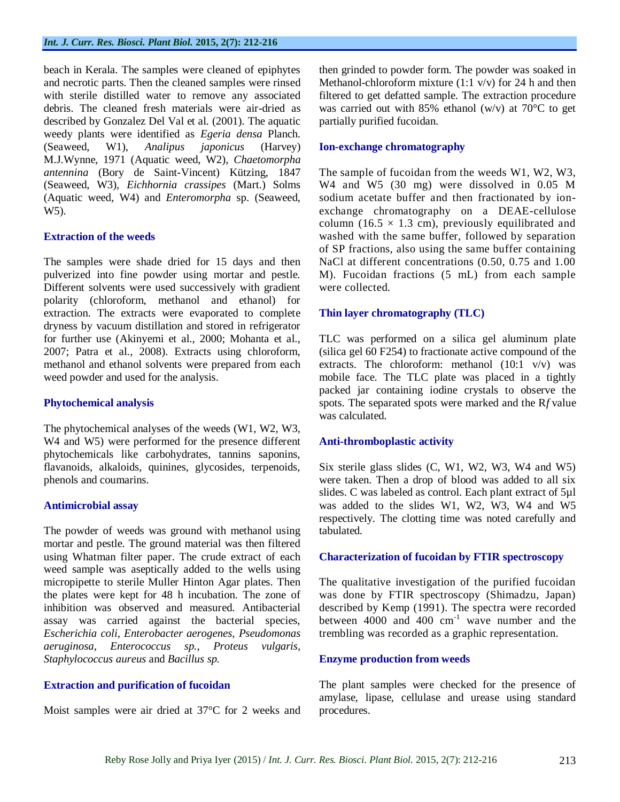beach in Kerala. The samples were cleaned of epiphytes and necrotic parts. Then the cleaned samples were rinsed with sterile distilled water to remove any associated debris. The cleaned fresh materials were air-dried as described by Gonzalez Del Val et al. (2001). The aquatic weedy plants were identified as *Egeria densa* Planch. (Seaweed, W1), *Analipus japonicus* (Harvey) M.J.Wynne, 1971 (Aquatic weed, W2)*, Chaetomorpha antennina* (Bory de Saint-Vincent) Kützing, 1847 (Seaweed, W3), *Eichhornia crassipes* (Mart.) Solms (Aquatic weed, W4) and *Enteromorpha* sp. (Seaweed, W5).

#### **Extraction of the weeds**

The samples were shade dried for 15 days and then pulverized into fine powder using mortar and pestle. Different solvents were used successively with gradient polarity (chloroform, methanol and ethanol) for extraction. The extracts were evaporated to complete dryness by vacuum distillation and stored in refrigerator for further use (Akinyemi et al., 2000; Mohanta et al., 2007; Patra et al.*,* 2008). Extracts using chloroform, methanol and ethanol solvents were prepared from each weed powder and used for the analysis.

#### **Phytochemical analysis**

The phytochemical analyses of the weeds (W1, W2, W3, W4 and W5) were performed for the presence different phytochemicals like carbohydrates, tannins saponins, flavanoids, alkaloids, quinines, glycosides, terpenoids, phenols and coumarins.

## **Antimicrobial assay**

The powder of weeds was ground with methanol using mortar and pestle. The ground material was then filtered using Whatman filter paper. The crude extract of each weed sample was aseptically added to the wells using micropipette to sterile Muller Hinton Agar plates. Then the plates were kept for 48 h incubation. The zone of inhibition was observed and measured. Antibacterial assay was carried against the bacterial species, *Escherichia coli, Enterobacter aerogenes, Pseudomonas aeruginosa, Enterococcus sp., Proteus vulgaris, Staphylococcus aureus* and *Bacillus sp.* 

## **Extraction and purification of fucoidan**

Moist samples were air dried at 37°C for 2 weeks and

then grinded to powder form. The powder was soaked in Methanol-chloroform mixture  $(1:1 \text{ v/v})$  for 24 h and then filtered to get defatted sample. The extraction procedure was carried out with 85% ethanol (w/v) at 70 $^{\circ}$ C to get partially purified fucoidan.

### **Ion-exchange chromatography**

The sample of fucoidan from the weeds W1, W2, W3, W4 and W5 (30 mg) were dissolved in 0.05 M sodium acetate buffer and then fractionated by ionexchange chromatography on a DEAE-cellulose column (16.5  $\times$  1.3 cm), previously equilibrated and washed with the same buffer, followed by separation of SP fractions, also using the same buffer containing NaCl at different concentrations (0.50, 0.75 and 1.00 M). Fucoidan fractions (5 mL) from each sample were collected.

## **Thin layer chromatography (TLC)**

TLC was performed on a silica gel aluminum plate (silica gel 60 F254) to fractionate active compound of the extracts. The chloroform: methanol (10:1 v/v) was mobile face. The TLC plate was placed in a tightly packed jar containing iodine crystals to observe the spots. The separated spots were marked and the R*f* value was calculated.

## **Anti-thromboplastic activity**

Six sterile glass slides (C, W1, W2, W3, W4 and W5) were taken. Then a drop of blood was added to all six slides. C was labeled as control. Each plant extract of 5µl was added to the slides W1, W2, W3, W4 and W5 respectively. The clotting time was noted carefully and tabulated.

## **Characterization of fucoidan by FTIR spectroscopy**

The qualitative investigation of the purified fucoidan was done by FTIR spectroscopy (Shimadzu, Japan) described by Kemp (1991). The spectra were recorded between  $4000$  and  $400$  cm<sup>-1</sup> wave number and the trembling was recorded as a graphic representation.

#### **Enzyme production from weeds**

The plant samples were checked for the presence of amylase, lipase, cellulase and urease using standard procedures.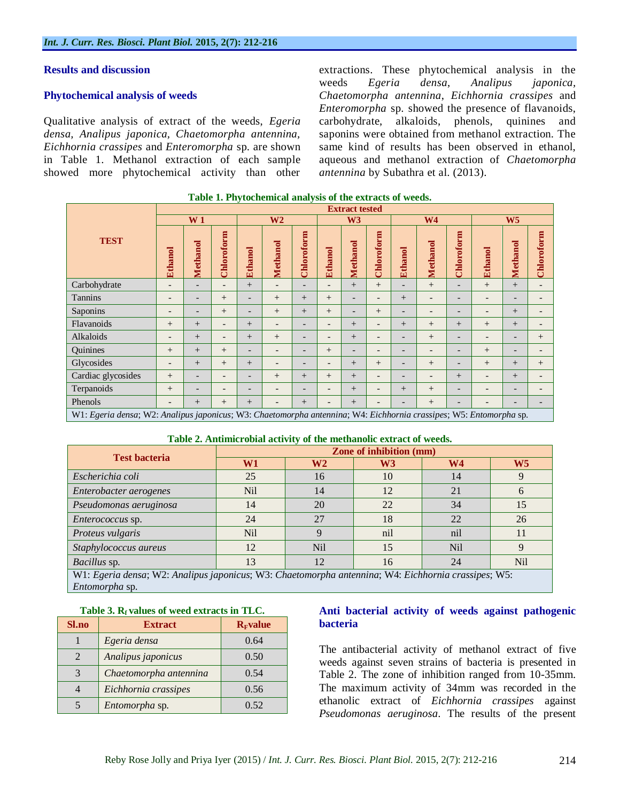#### **Results and discussion**

#### **Phytochemical analysis of weeds**

Qualitative analysis of extract of the weeds, *Egeria densa, Analipus japonica, Chaetomorpha antennina, Eichhornia crassipes* and *Enteromorpha* sp. are shown in Table 1. Methanol extraction of each sample showed more phytochemical activity than other extractions. These phytochemical analysis in the weeds *Egeria densa*, *Analipus japonica, Chaetomorpha antennina*, *Eichhornia crassipes* and *Enteromorpha* sp. showed the presence of flavanoids, carbohydrate, alkaloids, phenols, quinines and saponins were obtained from methanol extraction. The same kind of results has been observed in ethanol, aqueous and methanol extraction of *Chaetomorpha antennina* by Subathra et al. (2013).

|                                                                                                                    | <b>Extract tested</b>    |                          |                          |                          |                          |                          |                          |                          |                          |                          |                          |                          |                          |                          |                          |
|--------------------------------------------------------------------------------------------------------------------|--------------------------|--------------------------|--------------------------|--------------------------|--------------------------|--------------------------|--------------------------|--------------------------|--------------------------|--------------------------|--------------------------|--------------------------|--------------------------|--------------------------|--------------------------|
|                                                                                                                    | W <sub>1</sub>           |                          | W <sub>2</sub>           |                          | W <sub>3</sub>           |                          | W <sub>4</sub>           |                          |                          | W <sub>5</sub>           |                          |                          |                          |                          |                          |
| <b>TEST</b>                                                                                                        | <b>Ethanol</b>           | Methanol                 | Chloroform               | <b>Ethanol</b>           | <b>Methanol</b>          | Chloroform               | <b>Ethanol</b>           | <b>Methanol</b>          | Chloroform               | <b>Ethanol</b>           | Methanol                 | Chloroform               | <b>Ethanol</b>           | Methanol                 | Chloroform               |
| Carbohydrate                                                                                                       | $\overline{\phantom{a}}$ | $\qquad \qquad -$        | $\overline{\phantom{0}}$ | $+$                      | $\overline{\phantom{a}}$ | $\overline{\phantom{a}}$ | $\overline{\phantom{a}}$ | $+$                      | $+$                      | $\overline{\phantom{a}}$ | $+$                      | $\overline{\phantom{a}}$ | $+$                      | $+$                      | $\overline{\phantom{0}}$ |
| <b>Tannins</b>                                                                                                     | $\overline{\phantom{0}}$ | $\overline{\phantom{0}}$ | $^{+}$                   | $\overline{\phantom{a}}$ | $^{+}$                   | $+$                      | $^{+}$                   | $\overline{\phantom{a}}$ | $\overline{\phantom{0}}$ | $+$                      | $\overline{\phantom{a}}$ | $\overline{\phantom{0}}$ | $\overline{\phantom{0}}$ | $\overline{\phantom{0}}$ |                          |
| Saponins                                                                                                           | $\overline{\phantom{a}}$ | $\overline{\phantom{0}}$ | $^{+}$                   | $\qquad \qquad -$        | $^{+}$                   | $+$                      | $^{+}$                   | $\overline{\phantom{a}}$ | $^{+}$                   | $\overline{\phantom{a}}$ | $\overline{\phantom{0}}$ | $\overline{\phantom{0}}$ | $\overline{\phantom{0}}$ | $+$                      |                          |
| Flavanoids                                                                                                         | $^{+}$                   | $^{+}$                   | $\overline{\phantom{0}}$ | $+$                      | $\overline{\phantom{a}}$ | $\overline{\phantom{0}}$ | $\overline{\phantom{a}}$ | $^{+}$                   | $\overline{\phantom{0}}$ | $+$                      | $^{+}$                   | $^{+}$                   | $+$                      | $^{+}$                   |                          |
| Alkaloids                                                                                                          | $\overline{\phantom{a}}$ | $+$                      | $\overline{\phantom{0}}$ | $+$                      | $^{+}$                   | $\overline{\phantom{a}}$ | $\overline{\phantom{0}}$ | $^{+}$                   | $\overline{\phantom{0}}$ | $\overline{\phantom{0}}$ | $+$                      | $\overline{\phantom{0}}$ |                          | $\overline{\phantom{0}}$ | $^{+}$                   |
| Quinines                                                                                                           | $^{+}$                   | $+$                      | $^{+}$                   | $\qquad \qquad -$        | $\overline{\phantom{a}}$ | $\overline{\phantom{a}}$ | $^{+}$                   | $\overline{\phantom{a}}$ | $\overline{\phantom{0}}$ | $\overline{\phantom{0}}$ | $\overline{\phantom{a}}$ | $\overline{\phantom{a}}$ | $+$                      | $\overline{\phantom{0}}$ |                          |
| Glycosides                                                                                                         | $\overline{\phantom{0}}$ | $^{+}$                   | $+$                      | $^{+}$                   | $\overline{\phantom{a}}$ | <b>11</b>                | $\overline{\phantom{a}}$ | $^{+}$                   | $^{+}$                   | $\overline{\phantom{0}}$ | $^{+}$                   | $\overline{\phantom{0}}$ | $^{+}$                   | $+$                      | $^{+}$                   |
| Cardiac glycosides                                                                                                 | $^{+}$                   | $\qquad \qquad -$        | $\overline{\phantom{0}}$ | $\overline{\phantom{0}}$ | $+$                      | $+$                      | $^{+}$                   | $^{+}$                   | $\overline{\phantom{0}}$ | $\overline{\phantom{0}}$ | $\overline{\phantom{a}}$ | $+$                      | $\overline{\phantom{0}}$ | $^{+}$                   |                          |
| Terpanoids                                                                                                         | $^{+}$                   | $\overline{\phantom{0}}$ |                          | $\overline{a}$           | $\overline{\phantom{0}}$ | $\overline{\phantom{a}}$ | $\overline{\phantom{a}}$ | $^{+}$                   | $\overline{\phantom{0}}$ | $^{+}$                   | $^{+}$                   | $\overline{\phantom{a}}$ | ٠                        | $\overline{\phantom{0}}$ |                          |
| Phenols                                                                                                            | $\overline{\phantom{0}}$ | $^{+}$                   | $^{+}$                   | $^{+}$                   | $\overline{\phantom{a}}$ | $+$                      | $\overline{\phantom{a}}$ | $^{+}$                   | $\qquad \qquad -$        | $\overline{\phantom{a}}$ | $+$                      | $\overline{\phantom{a}}$ | $\overline{\phantom{0}}$ | $\overline{\phantom{0}}$ |                          |
| W1: Egeria densa; W2: Analipus japonicus; W3: Chaetomorpha antennina; W4: Eichhornia crassipes; W5: Entomorpha sp. |                          |                          |                          |                          |                          |                          |                          |                          |                          |                          |                          |                          |                          |                          |                          |

#### **Table 1. Phytochemical analysis of the extracts of weeds.**

#### **Table 2. Antimicrobial activity of the methanolic extract of weeds.**

| <b>Test bacteria</b>                                                                                                                                  | Zone of inhibition (mm) |            |     |                |                |  |  |  |  |
|-------------------------------------------------------------------------------------------------------------------------------------------------------|-------------------------|------------|-----|----------------|----------------|--|--|--|--|
|                                                                                                                                                       | W1<br>W2<br>W3          |            |     | W <sub>4</sub> | W <sub>5</sub> |  |  |  |  |
| Escherichia coli                                                                                                                                      | 25                      | 16         | 10  | 14             |                |  |  |  |  |
| Enterobacter aerogenes                                                                                                                                | <b>Nil</b>              | 14         | 12  | 21             |                |  |  |  |  |
| Pseudomonas aeruginosa                                                                                                                                | 14                      | 20         | 22  | 34             | 15             |  |  |  |  |
| <i>Enterococcus</i> sp.                                                                                                                               | 24                      | 27         | 18  | 22             | 26             |  |  |  |  |
| Proteus vulgaris                                                                                                                                      | <b>Nil</b>              |            | nil | nil            | 11             |  |  |  |  |
| Staphylococcus aureus                                                                                                                                 | 12                      | <b>Nil</b> | 15  | <b>Nil</b>     | Q              |  |  |  |  |
| Bacillus sp.                                                                                                                                          | 13                      | 12         | 16  | 24             | <b>Nil</b>     |  |  |  |  |
| W1: Egeria densa; W2: Analipus japonicus; W3: Chaetomorpha antennina; W4: Eichhornia crassipes; W5:<br>$\mathbf{r}$ and $\mathbf{r}$ and $\mathbf{r}$ |                         |            |     |                |                |  |  |  |  |

| Entomorpha sp. |
|----------------|
|----------------|

| <b>Sl.no</b> | <b>Extract</b>         | $RF$ value |
|--------------|------------------------|------------|
|              | Egeria densa           | 0.64       |
|              | Analipus japonicus     | 0.50       |
|              | Chaetomorpha antennina | 0.54       |
|              | Eichhornia crassipes   | 0.56       |
|              | Entomorpha sp.         | 0.52       |

#### **Table 3. Rf values of weed extracts in TLC.**

#### **Anti bacterial activity of weeds against pathogenic bacteria**

The antibacterial activity of methanol extract of five weeds against seven strains of bacteria is presented in Table 2. The zone of inhibition ranged from 10-35mm. The maximum activity of 34mm was recorded in the ethanolic extract of *Eichhornia crassipes* against *Pseudomonas aeruginosa*. The results of the present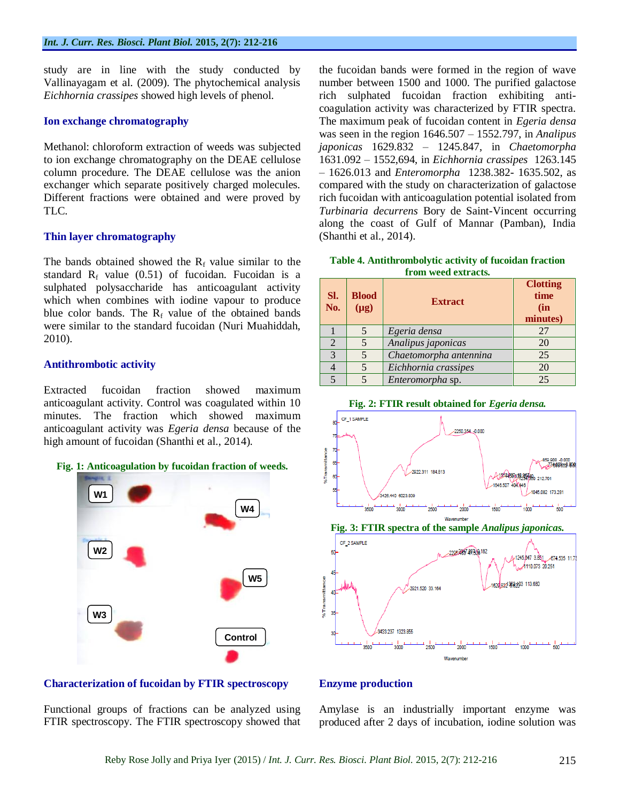study are in line with the study conducted by Vallinayagam et al. (2009). The phytochemical analysis *Eichhornia crassipes* showed high levels of phenol.

#### **Ion exchange chromatography**

Methanol: chloroform extraction of weeds was subjected to ion exchange chromatography on the DEAE cellulose column procedure. The DEAE cellulose was the anion exchanger which separate positively charged molecules. Different fractions were obtained and were proved by TLC.

#### **Thin layer chromatography**

The bands obtained showed the  $R_f$  value similar to the standard  $R_f$  value (0.51) of fucoidan. Fucoidan is a sulphated polysaccharide has anticoagulant activity which when combines with iodine vapour to produce blue color bands. The  $R_f$  value of the obtained bands were similar to the standard fucoidan (Nuri Muahiddah, 2010).

#### **Antithrombotic activity**

Extracted fucoidan fraction showed maximum anticoagulant activity. Control was coagulated within 10 minutes. The fraction which showed maximum anticoagulant activity was *Egeria densa* because of the high amount of fucoidan (Shanthi et al., 2014).



#### **Characterization of fucoidan by FTIR spectroscopy**

Functional groups of fractions can be analyzed using FTIR spectroscopy. The FTIR spectroscopy showed that the fucoidan bands were formed in the region of wave number between 1500 and 1000. The purified galactose rich sulphated fucoidan fraction exhibiting anticoagulation activity was characterized by FTIR spectra. The maximum peak of fucoidan content in *Egeria densa*  was seen in the region 1646.507 – 1552.797, in *Analipus japonicas* 1629.832 – 1245.847, in *Chaetomorpha*  1631.092 – 1552,694, in *Eichhornia crassipes* 1263.145 – 1626.013 and *Enteromorpha* 1238.382- 1635.502, as compared with the study on characterization of galactose rich fucoidan with anticoagulation potential isolated from *Turbinaria decurrens* Bory de Saint-Vincent occurring along the coast of Gulf of Mannar (Pamban), India (Shanthi et al., 2014).

**Table 4. Antithrombolytic activity of fucoidan fraction from weed extracts.**

| Sl.<br>No.     | <b>Blood</b><br>$(\mu g)$ | <b>Extract</b>         | <b>Clotting</b><br>time<br>(in<br>minutes) |
|----------------|---------------------------|------------------------|--------------------------------------------|
|                | 5                         | Egeria densa           | 27                                         |
| $\overline{2}$ | 5                         | Analipus japonicas     | 20                                         |
| 3              | 5                         | Chaetomorpha antennina | 25                                         |
|                | 5                         | Eichhornia crassipes   | 20                                         |
| $\leq$         |                           | Enteromorpha sp.       | 25                                         |





#### **Enzyme production**

Amylase is an industrially important enzyme was produced after 2 days of incubation, iodine solution was